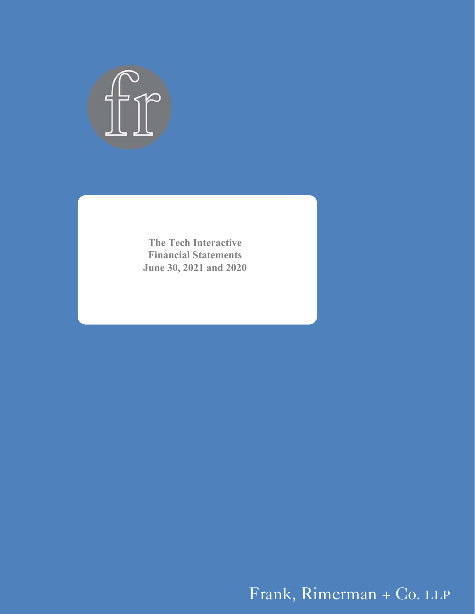

**The Tech Interactive Financial Statements June 30, 2021 and 2020** 

Frank, Rimerman + Co. LLP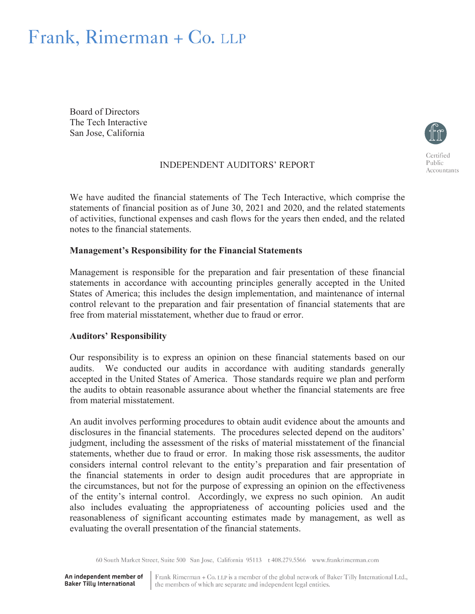# Frank, Rimerman + Co. LLP

Board of Directors The Tech Interactive San Jose, California



Public Accountants

INDEPENDENT AUDITORS' REPORT

We have audited the financial statements of The Tech Interactive, which comprise the statements of financial position as of June 30, 2021 and 2020, and the related statements of activities, functional expenses and cash flows for the years then ended, and the related notes to the financial statements.

#### **Management's Responsibility for the Financial Statements**

Management is responsible for the preparation and fair presentation of these financial statements in accordance with accounting principles generally accepted in the United States of America; this includes the design implementation, and maintenance of internal control relevant to the preparation and fair presentation of financial statements that are free from material misstatement, whether due to fraud or error.

#### **Auditors' Responsibility**

Our responsibility is to express an opinion on these financial statements based on our audits. We conducted our audits in accordance with auditing standards generally accepted in the United States of America. Those standards require we plan and perform the audits to obtain reasonable assurance about whether the financial statements are free from material misstatement.

An audit involves performing procedures to obtain audit evidence about the amounts and disclosures in the financial statements. The procedures selected depend on the auditors' judgment, including the assessment of the risks of material misstatement of the financial statements, whether due to fraud or error. In making those risk assessments, the auditor considers internal control relevant to the entity's preparation and fair presentation of the financial statements in order to design audit procedures that are appropriate in the circumstances, but not for the purpose of expressing an opinion on the effectiveness of the entity's internal control. Accordingly, we express no such opinion. An audit also includes evaluating the appropriateness of accounting policies used and the reasonableness of significant accounting estimates made by management, as well as evaluating the overall presentation of the financial statements.

60 South Market Street, Suite 500 San Jose, California 95113 t 408.279.5566 www.frankrimerman.com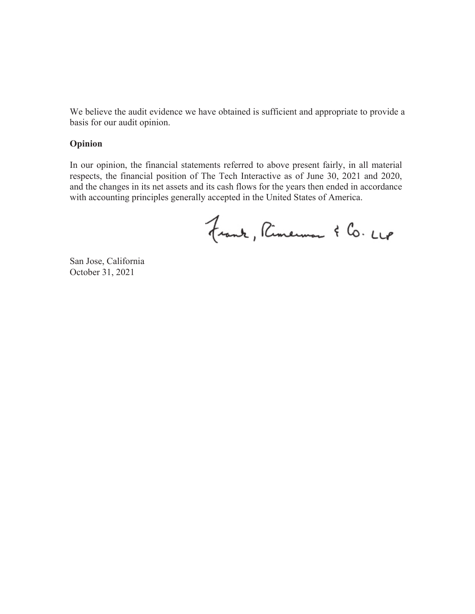We believe the audit evidence we have obtained is sufficient and appropriate to provide a basis for our audit opinion.

#### **Opinion**

In our opinion, the financial statements referred to above present fairly, in all material respects, the financial position of The Tech Interactive as of June 30, 2021 and 2020, and the changes in its net assets and its cash flows for the years then ended in accordance with accounting principles generally accepted in the United States of America.

Frank, Rimermon & Co. LLP

San Jose, California October 31, 2021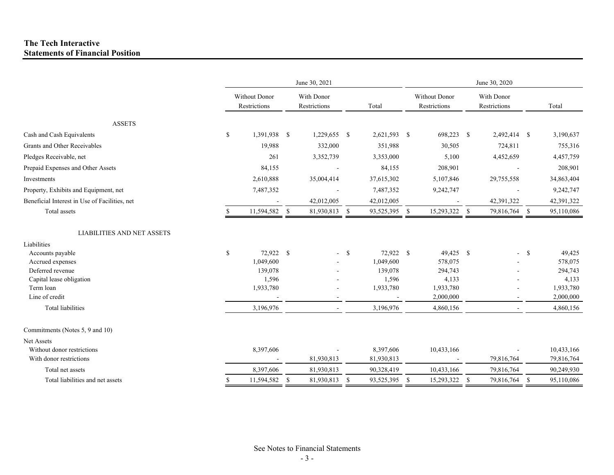#### **The Tech Interactive Statements of Financial Position**

|                                                       |    |                               |      | June 30, 2021              |              | June 30, 2020           |  |                               |                            |               |               |                          |
|-------------------------------------------------------|----|-------------------------------|------|----------------------------|--------------|-------------------------|--|-------------------------------|----------------------------|---------------|---------------|--------------------------|
|                                                       |    | Without Donor<br>Restrictions |      | With Donor<br>Restrictions |              | Total                   |  | Without Donor<br>Restrictions | With Donor<br>Restrictions |               |               | Total                    |
| <b>ASSETS</b>                                         |    |                               |      |                            |              |                         |  |                               |                            |               |               |                          |
| Cash and Cash Equivalents                             | \$ | 1,391,938 \$                  |      | 1,229,655 \$               |              | 2,621,593 \$            |  | 698,223 \$                    |                            | 2,492,414 \$  |               | 3,190,637                |
| Grants and Other Receivables                          |    | 19,988                        |      | 332,000                    |              | 351,988                 |  | 30,505                        |                            | 724,811       |               | 755,316                  |
| Pledges Receivable, net                               |    | 261                           |      | 3,352,739                  |              | 3,353,000               |  | 5,100                         |                            | 4,452,659     |               | 4,457,759                |
| Prepaid Expenses and Other Assets                     |    | 84,155                        |      |                            |              | 84,155                  |  | 208,901                       |                            |               |               | 208,901                  |
| Investments                                           |    | 2,610,888                     |      | 35,004,414                 |              | 37,615,302              |  | 5,107,846                     |                            | 29,755,558    |               | 34,863,404               |
| Property, Exhibits and Equipment, net                 |    | 7,487,352                     |      |                            |              | 7,487,352               |  | 9,242,747                     |                            |               |               | 9,242,747                |
| Beneficial Interest in Use of Facilities, net         |    |                               |      | 42,012,005                 |              | 42,012,005              |  |                               |                            | 42,391,322    |               | 42,391,322               |
| Total assets                                          |    | 11,594,582 \$                 |      | 81,930,813 \$              |              | 93,525,395 \$           |  | 15,293,322 \$                 |                            | 79,816,764 \$ |               | 95,110,086               |
| <b>LIABILITIES AND NET ASSETS</b><br>Liabilities      |    |                               |      |                            |              |                         |  |                               |                            |               |               |                          |
| Accounts payable                                      | \$ | 72,922 \$                     |      |                            | <sup>S</sup> | 72,922 \$               |  | 49,425 \$                     |                            |               | <sup>\$</sup> | 49,425                   |
| Accrued expenses                                      |    | 1,049,600                     |      |                            |              | 1,049,600               |  | 578,075                       |                            |               |               | 578,075                  |
| Deferred revenue<br>Capital lease obligation          |    | 139,078<br>1,596              |      |                            |              | 139,078<br>1,596        |  | 294,743<br>4,133              |                            |               |               | 294,743<br>4,133         |
| Term loan<br>Line of credit                           |    | 1,933,780                     |      | $\overline{\phantom{a}}$   |              | 1,933,780               |  | 1,933,780<br>2,000,000        |                            |               |               | 1,933,780<br>2,000,000   |
| Total liabilities                                     |    | 3,196,976                     |      | $\sim$                     |              | 3,196,976               |  | 4,860,156                     |                            |               |               | 4,860,156                |
| Commitments (Notes 5, 9 and 10)                       |    |                               |      |                            |              |                         |  |                               |                            |               |               |                          |
| Net Assets                                            |    |                               |      |                            |              |                         |  |                               |                            |               |               |                          |
| Without donor restrictions<br>With donor restrictions |    | 8,397,606                     |      | 81,930,813                 |              | 8,397,606<br>81,930,813 |  | 10,433,166                    |                            | 79,816,764    |               | 10,433,166<br>79,816,764 |
| Total net assets                                      |    | 8,397,606                     |      | 81,930,813                 |              | 90,328,419              |  | 10,433,166                    |                            | 79,816,764    |               | 90,249,930               |
| Total liabilities and net assets                      | S  | 11,594,582                    | - \$ | 81,930,813                 | - \$         | 93,525,395 \$           |  | 15,293,322 \$                 |                            | 79,816,764    | <sup>S</sup>  | 95,110,086               |
|                                                       |    |                               |      |                            |              |                         |  |                               |                            |               |               |                          |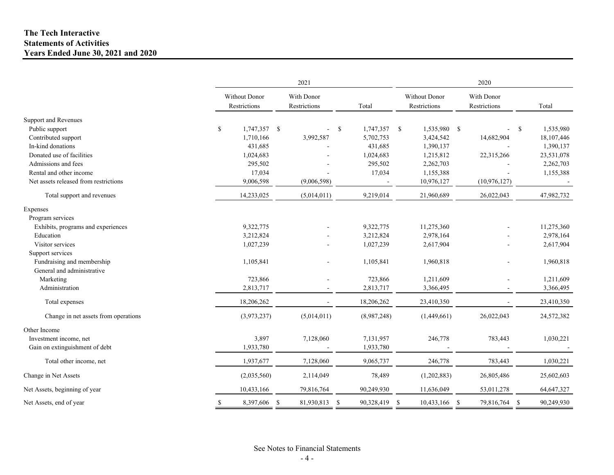#### **The Tech Interactive Statements of Activities Years Ended June 30, 2021 and 2020**

|                                       | 2021                          |    |                            |      |               |               |                                      |               | 2020                       |              |            |  |  |  |
|---------------------------------------|-------------------------------|----|----------------------------|------|---------------|---------------|--------------------------------------|---------------|----------------------------|--------------|------------|--|--|--|
|                                       | Without Donor<br>Restrictions |    | With Donor<br>Restrictions |      | Total         |               | <b>Without Donor</b><br>Restrictions |               | With Donor<br>Restrictions |              | Total      |  |  |  |
| Support and Revenues                  |                               |    |                            |      |               |               |                                      |               |                            |              |            |  |  |  |
| Public support                        | \$<br>1,747,357 \$            |    | $\sim$                     | - \$ | 1,747,357     | <sup>\$</sup> | 1,535,980 \$                         |               |                            | $\mathbb{S}$ | 1,535,980  |  |  |  |
| Contributed support                   | 1,710,166                     |    | 3,992,587                  |      | 5,702,753     |               | 3,424,542                            |               | 14,682,904                 |              | 18,107,446 |  |  |  |
| In-kind donations                     | 431,685                       |    |                            |      | 431,685       |               | 1,390,137                            |               |                            |              | 1,390,137  |  |  |  |
| Donated use of facilities             | 1,024,683                     |    |                            |      | 1,024,683     |               | 1,215,812                            |               | 22,315,266                 |              | 23,531,078 |  |  |  |
| Admissions and fees                   | 295,502                       |    |                            |      | 295,502       |               | 2,262,703                            |               |                            |              | 2,262,703  |  |  |  |
| Rental and other income               | 17,034                        |    |                            |      | 17,034        |               | 1,155,388                            |               |                            |              | 1,155,388  |  |  |  |
| Net assets released from restrictions | 9,006,598                     |    | (9,006,598)                |      |               |               | 10,976,127                           |               | (10, 976, 127)             |              |            |  |  |  |
| Total support and revenues            | 14,233,025                    |    | (5,014,011)                |      | 9,219,014     |               | 21,960,689                           |               | 26,022,043                 |              | 47,982,732 |  |  |  |
| Expenses                              |                               |    |                            |      |               |               |                                      |               |                            |              |            |  |  |  |
| Program services                      |                               |    |                            |      |               |               |                                      |               |                            |              |            |  |  |  |
| Exhibits, programs and experiences    | 9,322,775                     |    |                            |      | 9,322,775     |               | 11,275,360                           |               |                            |              | 11,275,360 |  |  |  |
| Education                             | 3,212,824                     |    |                            |      | 3,212,824     |               | 2,978,164                            |               |                            |              | 2,978,164  |  |  |  |
| Visitor services                      | 1,027,239                     |    |                            |      | 1,027,239     |               | 2,617,904                            |               |                            |              | 2,617,904  |  |  |  |
| Support services                      |                               |    |                            |      |               |               |                                      |               |                            |              |            |  |  |  |
| Fundraising and membership            | 1,105,841                     |    |                            |      | 1,105,841     |               | 1,960,818                            |               |                            |              | 1,960,818  |  |  |  |
| General and administrative            |                               |    |                            |      |               |               |                                      |               |                            |              |            |  |  |  |
| Marketing                             | 723,866                       |    |                            |      | 723,866       |               | 1,211,609                            |               |                            |              | 1,211,609  |  |  |  |
| Administration                        | 2,813,717                     |    |                            |      | 2,813,717     |               | 3,366,495                            |               |                            |              | 3,366,495  |  |  |  |
| Total expenses                        | 18,206,262                    |    |                            |      | 18,206,262    |               | 23,410,350                           |               |                            |              | 23,410,350 |  |  |  |
| Change in net assets from operations  | (3,973,237)                   |    | (5,014,011)                |      | (8,987,248)   |               | (1,449,661)                          |               | 26,022,043                 |              | 24,572,382 |  |  |  |
| Other Income                          |                               |    |                            |      |               |               |                                      |               |                            |              |            |  |  |  |
| Investment income, net                | 3,897                         |    | 7,128,060                  |      | 7,131,957     |               | 246,778                              |               | 783,443                    |              | 1,030,221  |  |  |  |
| Gain on extinguishment of debt        | 1,933,780                     |    |                            |      | 1,933,780     |               |                                      |               |                            |              |            |  |  |  |
| Total other income, net               | 1,937,677                     |    | 7,128,060                  |      | 9,065,737     |               | 246,778                              |               | 783,443                    |              | 1,030,221  |  |  |  |
| Change in Net Assets                  | (2,035,560)                   |    | 2,114,049                  |      | 78,489        |               | (1,202,883)                          |               | 26,805,486                 |              | 25,602,603 |  |  |  |
| Net Assets, beginning of year         | 10,433,166                    |    | 79,816,764                 |      | 90,249,930    |               | 11,636,049                           |               | 53,011,278                 |              | 64,647,327 |  |  |  |
| Net Assets, end of year               | 8,397,606                     | \$ | 81,930,813                 | -S   | 90,328,419 \$ |               | 10,433,166                           | <sup>\$</sup> | 79,816,764 \$              |              | 90,249,930 |  |  |  |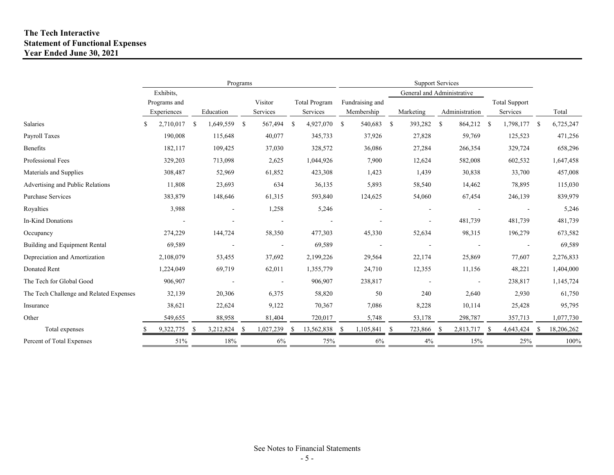#### **The Tech Interactive Statement of Functional Expenses Year Ended June 30, 2021**

|                                         | Programs |              |    |                |      |           |    |                      | <b>Support Services</b> |                 |     |                            |      |                |    |                          |            |
|-----------------------------------------|----------|--------------|----|----------------|------|-----------|----|----------------------|-------------------------|-----------------|-----|----------------------------|------|----------------|----|--------------------------|------------|
|                                         |          | Exhibits,    |    |                |      |           |    |                      |                         |                 |     | General and Administrative |      |                |    |                          |            |
|                                         |          | Programs and |    |                |      | Visitor   |    | <b>Total Program</b> |                         | Fundraising and |     |                            |      |                |    | <b>Total Support</b>     |            |
|                                         |          | Experiences  |    | Education      |      | Services  |    | Services             |                         | Membership      |     | Marketing                  |      | Administration |    | Services                 | Total      |
| Salaries                                |          | 2,710,017    | -S | 1,649,559      | - \$ | 567,494   | \$ | 4,927,070 \$         |                         | 540,683         | -\$ | 393,282                    | - \$ | 864,212        | -S | 1,798,177 \$             | 6,725,247  |
| Payroll Taxes                           |          | 190,008      |    | 115,648        |      | 40,077    |    | 345,733              |                         | 37,926          |     | 27,828                     |      | 59,769         |    | 125,523                  | 471,256    |
| Benefits                                |          | 182,117      |    | 109,425        |      | 37,030    |    | 328,572              |                         | 36,086          |     | 27,284                     |      | 266,354        |    | 329,724                  | 658,296    |
| Professional Fees                       |          | 329,203      |    | 713,098        |      | 2,625     |    | 1,044,926            |                         | 7,900           |     | 12,624                     |      | 582,008        |    | 602,532                  | 1,647,458  |
| Materials and Supplies                  |          | 308,487      |    | 52,969         |      | 61,852    |    | 423,308              |                         | 1,423           |     | 1,439                      |      | 30,838         |    | 33,700                   | 457,008    |
| Advertising and Public Relations        |          | 11,808       |    | 23,693         |      | 634       |    | 36,135               |                         | 5,893           |     | 58,540                     |      | 14,462         |    | 78,895                   | 115,030    |
| <b>Purchase Services</b>                |          | 383,879      |    | 148,646        |      | 61,315    |    | 593,840              |                         | 124,625         |     | 54,060                     |      | 67,454         |    | 246,139                  | 839,979    |
| Royalties                               |          | 3,988        |    | $\blacksquare$ |      | 1,258     |    | 5,246                |                         |                 |     |                            |      |                |    | $\overline{\phantom{a}}$ | 5,246      |
| In-Kind Donations                       |          |              |    |                |      |           |    |                      |                         |                 |     |                            |      | 481,739        |    | 481,739                  | 481,739    |
| Occupancy                               |          | 274,229      |    | 144,724        |      | 58,350    |    | 477,303              |                         | 45,330          |     | 52,634                     |      | 98,315         |    | 196,279                  | 673,582    |
| Building and Equipment Rental           |          | 69,589       |    |                |      |           |    | 69,589               |                         |                 |     |                            |      |                |    |                          | 69,589     |
| Depreciation and Amortization           |          | 2,108,079    |    | 53,455         |      | 37,692    |    | 2,199,226            |                         | 29,564          |     | 22,174                     |      | 25,869         |    | 77,607                   | 2,276,833  |
| Donated Rent                            |          | 1,224,049    |    | 69,719         |      | 62,011    |    | 1,355,779            |                         | 24,710          |     | 12,355                     |      | 11,156         |    | 48,221                   | 1,404,000  |
| The Tech for Global Good                |          | 906,907      |    |                |      |           |    | 906,907              |                         | 238,817         |     |                            |      |                |    | 238,817                  | 1,145,724  |
| The Tech Challenge and Related Expenses |          | 32,139       |    | 20,306         |      | 6,375     |    | 58,820               |                         | 50              |     | 240                        |      | 2,640          |    | 2,930                    | 61,750     |
| Insurance                               |          | 38,621       |    | 22,624         |      | 9,122     |    | 70,367               |                         | 7,086           |     | 8,228                      |      | 10,114         |    | 25,428                   | 95,795     |
| Other                                   |          | 549,655      |    | 88,958         |      | 81,404    |    | 720,017              |                         | 5,748           |     | 53,178                     |      | 298,787        |    | 357,713                  | 1,077,730  |
| Total expenses                          |          | 9,322,775    | -S | 3,212,824      | -S   | 1,027,239 | -S | 13,562,838           | -S                      | 1,105,841       | -S  | 723,866                    |      | 2,813,717      | -S | 4,643,424                | 18,206,262 |
| Percent of Total Expenses               |          | 51%          |    | 18%            |      | 6%        |    | 75%                  |                         | 6%              |     | 4%                         |      | 15%            |    | 25%                      | 100%       |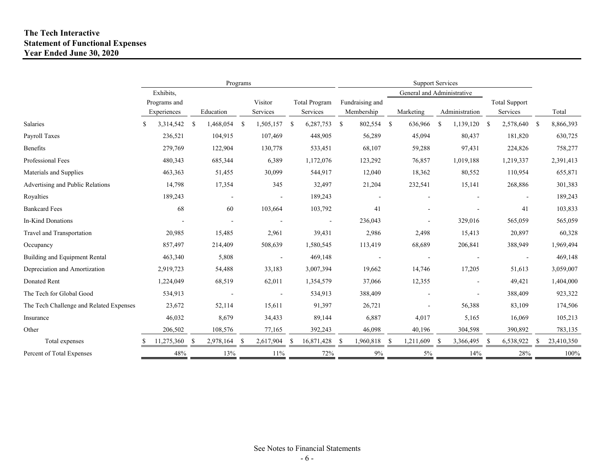#### **The Tech Interactive Statement of Functional Expenses Year Ended June 30, 2020**

|                                         |                 |    | Programs  |     |           |    |                      |      |                 |    |                            |    |                |    |                      |            |
|-----------------------------------------|-----------------|----|-----------|-----|-----------|----|----------------------|------|-----------------|----|----------------------------|----|----------------|----|----------------------|------------|
|                                         | Exhibits,       |    |           |     |           |    |                      |      |                 |    | General and Administrative |    |                |    |                      |            |
|                                         | Programs and    |    |           |     | Visitor   |    | <b>Total Program</b> |      | Fundraising and |    |                            |    |                |    | <b>Total Support</b> |            |
|                                         | Experiences     |    | Education |     | Services  |    | Services             |      | Membership      |    | Marketing                  |    | Administration |    | Services             | Total      |
| Salaries                                | 3,314,542<br>-S | -S | 1,468,054 | -\$ | 1,505,157 | -S | 6,287,753            | - \$ | 802,554         | \$ | 636,966                    | -S | 1,139,120      | -S | 2,578,640 \$         | 8,866,393  |
| Payroll Taxes                           | 236,521         |    | 104,915   |     | 107,469   |    | 448,905              |      | 56,289          |    | 45,094                     |    | 80,437         |    | 181,820              | 630,725    |
| Benefits                                | 279,769         |    | 122,904   |     | 130,778   |    | 533,451              |      | 68,107          |    | 59,288                     |    | 97,431         |    | 224,826              | 758,277    |
| Professional Fees                       | 480,343         |    | 685,344   |     | 6,389     |    | 1,172,076            |      | 123,292         |    | 76,857                     |    | 1,019,188      |    | 1,219,337            | 2,391,413  |
| Materials and Supplies                  | 463,363         |    | 51,455    |     | 30,099    |    | 544,917              |      | 12,040          |    | 18,362                     |    | 80,552         |    | 110,954              | 655,871    |
| Advertising and Public Relations        | 14,798          |    | 17,354    |     | 345       |    | 32,497               |      | 21,204          |    | 232,541                    |    | 15,141         |    | 268,886              | 301,383    |
| Royalties                               | 189,243         |    |           |     |           |    | 189,243              |      |                 |    |                            |    |                |    |                      | 189,243    |
| <b>Bankcard Fees</b>                    | 68              |    | 60        |     | 103,664   |    | 103,792              |      | 41              |    |                            |    |                |    | 41                   | 103,833    |
| In-Kind Donations                       |                 |    |           |     |           |    |                      |      | 236,043         |    |                            |    | 329,016        |    | 565,059              | 565,059    |
| Travel and Transportation               | 20,985          |    | 15,485    |     | 2,961     |    | 39,431               |      | 2,986           |    | 2,498                      |    | 15,413         |    | 20,897               | 60,328     |
| Occupancy                               | 857,497         |    | 214,409   |     | 508,639   |    | 1,580,545            |      | 113,419         |    | 68,689                     |    | 206,841        |    | 388,949              | 1,969,494  |
| Building and Equipment Rental           | 463,340         |    | 5,808     |     |           |    | 469,148              |      |                 |    |                            |    |                |    |                      | 469,148    |
| Depreciation and Amortization           | 2,919,723       |    | 54,488    |     | 33,183    |    | 3,007,394            |      | 19,662          |    | 14,746                     |    | 17,205         |    | 51,613               | 3,059,007  |
| Donated Rent                            | 1,224,049       |    | 68,519    |     | 62,011    |    | 1,354,579            |      | 37,066          |    | 12,355                     |    |                |    | 49,421               | 1,404,000  |
| The Tech for Global Good                | 534,913         |    |           |     |           |    | 534,913              |      | 388,409         |    |                            |    |                |    | 388,409              | 923,322    |
| The Tech Challenge and Related Expenses | 23,672          |    | 52,114    |     | 15,611    |    | 91,397               |      | 26,721          |    |                            |    | 56,388         |    | 83,109               | 174,506    |
| Insurance                               | 46,032          |    | 8,679     |     | 34,433    |    | 89,144               |      | 6,887           |    | 4,017                      |    | 5,165          |    | 16,069               | 105,213    |
| Other                                   | 206,502         |    | 108,576   |     | 77,165    |    | 392,243              |      | 46,098          |    | 40,196                     |    | 304,598        |    | 390,892              | 783,135    |
| Total expenses                          | 11,275,360      |    | 2,978,164 | -\$ | 2,617,904 | -S | 16,871,428           | -S   | 1,960,818       | -S | 1,211,609                  |    | 3,366,495      | -S | 6,538,922            | 23,410,350 |
| Percent of Total Expenses               | 48%             |    | 13%       |     | 11%       |    | 72%                  |      | $9\%$           |    | 5%                         |    | 14%            |    | 28%                  | 100%       |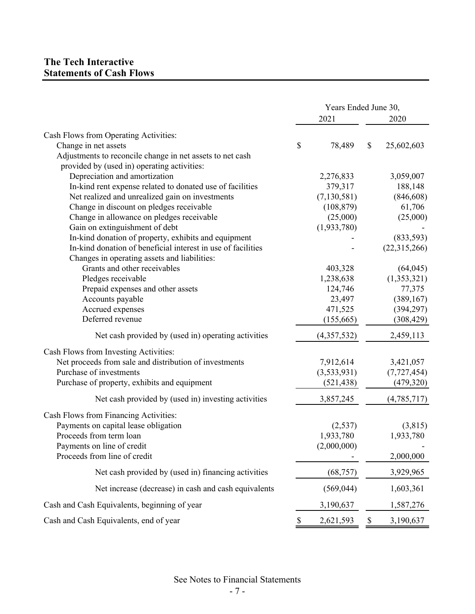## **The Tech Interactive Statements of Cash Flows**

|                                                              | Years Ended June 30, |               |    |               |  |
|--------------------------------------------------------------|----------------------|---------------|----|---------------|--|
|                                                              |                      | 2021          |    | 2020          |  |
| Cash Flows from Operating Activities:                        |                      |               |    |               |  |
| Change in net assets                                         | \$                   | 78,489        | \$ | 25,602,603    |  |
| Adjustments to reconcile change in net assets to net cash    |                      |               |    |               |  |
| provided by (used in) operating activities:                  |                      |               |    |               |  |
| Depreciation and amortization                                |                      | 2,276,833     |    | 3,059,007     |  |
| In-kind rent expense related to donated use of facilities    |                      | 379,317       |    | 188,148       |  |
| Net realized and unrealized gain on investments              |                      | (7, 130, 581) |    | (846, 608)    |  |
| Change in discount on pledges receivable                     |                      | (108, 879)    |    | 61,706        |  |
| Change in allowance on pledges receivable                    |                      | (25,000)      |    | (25,000)      |  |
| Gain on extinguishment of debt                               |                      | (1,933,780)   |    |               |  |
| In-kind donation of property, exhibits and equipment         |                      |               |    | (833,593)     |  |
| In-kind donation of beneficial interest in use of facilities |                      |               |    | (22,315,266)  |  |
| Changes in operating assets and liabilities:                 |                      |               |    |               |  |
| Grants and other receivables                                 |                      | 403,328       |    | (64, 045)     |  |
| Pledges receivable                                           |                      | 1,238,638     |    | (1,353,321)   |  |
| Prepaid expenses and other assets                            |                      | 124,746       |    | 77,375        |  |
| Accounts payable                                             |                      | 23,497        |    | (389, 167)    |  |
| Accrued expenses                                             |                      | 471,525       |    | (394, 297)    |  |
| Deferred revenue                                             |                      | (155, 665)    |    | (308, 429)    |  |
| Net cash provided by (used in) operating activities          |                      | (4,357,532)   |    | 2,459,113     |  |
| Cash Flows from Investing Activities:                        |                      |               |    |               |  |
| Net proceeds from sale and distribution of investments       |                      | 7,912,614     |    | 3,421,057     |  |
| Purchase of investments                                      |                      | (3,533,931)   |    | (7, 727, 454) |  |
| Purchase of property, exhibits and equipment                 |                      | (521, 438)    |    | (479, 320)    |  |
| Net cash provided by (used in) investing activities          |                      | 3,857,245     |    | (4,785,717)   |  |
| Cash Flows from Financing Activities:                        |                      |               |    |               |  |
| Payments on capital lease obligation                         |                      | (2,537)       |    | (3,815)       |  |
| Proceeds from term loan                                      |                      | 1,933,780     |    | 1,933,780     |  |
| Payments on line of credit                                   |                      | (2,000,000)   |    |               |  |
| Proceeds from line of credit                                 |                      |               |    | 2,000,000     |  |
| Net cash provided by (used in) financing activities          |                      | (68, 757)     |    | 3,929,965     |  |
| Net increase (decrease) in cash and cash equivalents         |                      | (569, 044)    |    | 1,603,361     |  |
| Cash and Cash Equivalents, beginning of year                 |                      | 3,190,637     |    | 1,587,276     |  |
| Cash and Cash Equivalents, end of year                       | \$                   | 2,621,593     | \$ | 3,190,637     |  |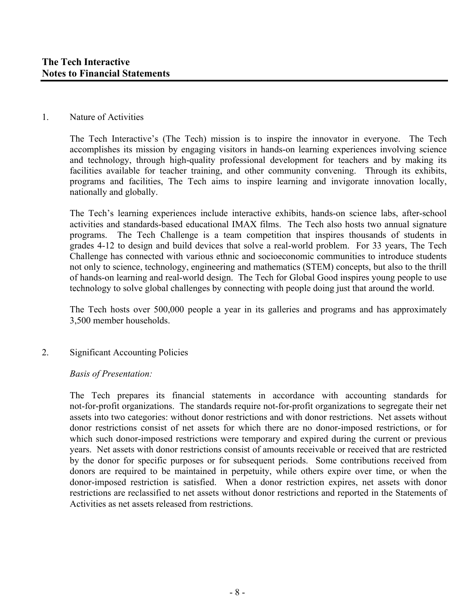#### 1. Nature of Activities

The Tech Interactive's (The Tech) mission is to inspire the innovator in everyone. The Tech accomplishes its mission by engaging visitors in hands-on learning experiences involving science and technology, through high-quality professional development for teachers and by making its facilities available for teacher training, and other community convening. Through its exhibits, programs and facilities, The Tech aims to inspire learning and invigorate innovation locally, nationally and globally.

The Tech's learning experiences include interactive exhibits, hands-on science labs, after-school activities and standards-based educational IMAX films. The Tech also hosts two annual signature programs. The Tech Challenge is a team competition that inspires thousands of students in grades 4-12 to design and build devices that solve a real-world problem. For 33 years, The Tech Challenge has connected with various ethnic and socioeconomic communities to introduce students not only to science, technology, engineering and mathematics (STEM) concepts, but also to the thrill of hands-on learning and real-world design. The Tech for Global Good inspires young people to use technology to solve global challenges by connecting with people doing just that around the world.

The Tech hosts over 500,000 people a year in its galleries and programs and has approximately 3,500 member households.

## 2. Significant Accounting Policies

## *Basis of Presentation:*

The Tech prepares its financial statements in accordance with accounting standards for not-for-profit organizations. The standards require not-for-profit organizations to segregate their net assets into two categories: without donor restrictions and with donor restrictions. Net assets without donor restrictions consist of net assets for which there are no donor-imposed restrictions, or for which such donor-imposed restrictions were temporary and expired during the current or previous years. Net assets with donor restrictions consist of amounts receivable or received that are restricted by the donor for specific purposes or for subsequent periods. Some contributions received from donors are required to be maintained in perpetuity, while others expire over time, or when the donor-imposed restriction is satisfied. When a donor restriction expires, net assets with donor restrictions are reclassified to net assets without donor restrictions and reported in the Statements of Activities as net assets released from restrictions.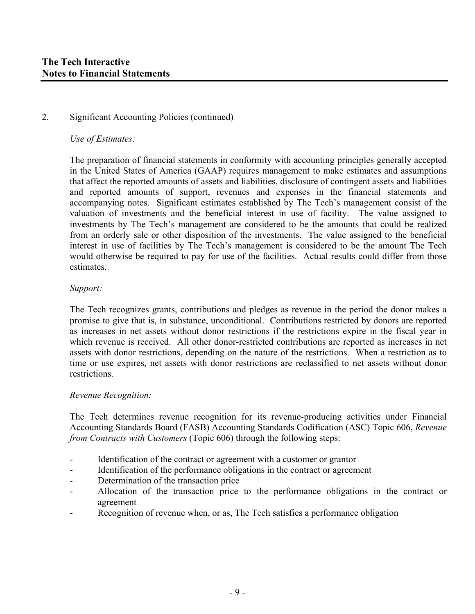#### *Use of Estimates:*

The preparation of financial statements in conformity with accounting principles generally accepted in the United States of America (GAAP) requires management to make estimates and assumptions that affect the reported amounts of assets and liabilities, disclosure of contingent assets and liabilities and reported amounts of support, revenues and expenses in the financial statements and accompanying notes. Significant estimates established by The Tech's management consist of the valuation of investments and the beneficial interest in use of facility. The value assigned to investments by The Tech's management are considered to be the amounts that could be realized from an orderly sale or other disposition of the investments. The value assigned to the beneficial interest in use of facilities by The Tech's management is considered to be the amount The Tech would otherwise be required to pay for use of the facilities. Actual results could differ from those estimates.

#### *Support:*

The Tech recognizes grants, contributions and pledges as revenue in the period the donor makes a promise to give that is, in substance, unconditional. Contributions restricted by donors are reported as increases in net assets without donor restrictions if the restrictions expire in the fiscal year in which revenue is received. All other donor-restricted contributions are reported as increases in net assets with donor restrictions, depending on the nature of the restrictions. When a restriction as to time or use expires, net assets with donor restrictions are reclassified to net assets without donor restrictions.

#### *Revenue Recognition:*

The Tech determines revenue recognition for its revenue-producing activities under Financial Accounting Standards Board (FASB) Accounting Standards Codification (ASC) Topic 606, *Revenue from Contracts with Customers* (Topic 606) through the following steps:

- Identification of the contract or agreement with a customer or grantor
- Identification of the performance obligations in the contract or agreement
- Determination of the transaction price
- Allocation of the transaction price to the performance obligations in the contract or agreement
- Recognition of revenue when, or as, The Tech satisfies a performance obligation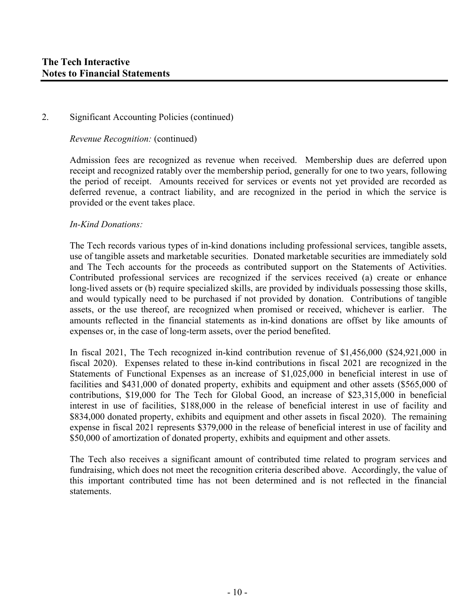*Revenue Recognition:* (continued)

Admission fees are recognized as revenue when received. Membership dues are deferred upon receipt and recognized ratably over the membership period, generally for one to two years, following the period of receipt. Amounts received for services or events not yet provided are recorded as deferred revenue, a contract liability, and are recognized in the period in which the service is provided or the event takes place.

#### *In-Kind Donations:*

The Tech records various types of in-kind donations including professional services, tangible assets, use of tangible assets and marketable securities. Donated marketable securities are immediately sold and The Tech accounts for the proceeds as contributed support on the Statements of Activities. Contributed professional services are recognized if the services received (a) create or enhance long-lived assets or (b) require specialized skills, are provided by individuals possessing those skills, and would typically need to be purchased if not provided by donation. Contributions of tangible assets, or the use thereof, are recognized when promised or received, whichever is earlier. The amounts reflected in the financial statements as in-kind donations are offset by like amounts of expenses or, in the case of long-term assets, over the period benefited.

In fiscal 2021, The Tech recognized in-kind contribution revenue of \$1,456,000 (\$24,921,000 in fiscal 2020). Expenses related to these in-kind contributions in fiscal 2021 are recognized in the Statements of Functional Expenses as an increase of \$1,025,000 in beneficial interest in use of facilities and \$431,000 of donated property, exhibits and equipment and other assets (\$565,000 of contributions, \$19,000 for The Tech for Global Good, an increase of \$23,315,000 in beneficial interest in use of facilities, \$188,000 in the release of beneficial interest in use of facility and \$834,000 donated property, exhibits and equipment and other assets in fiscal 2020). The remaining expense in fiscal 2021 represents \$379,000 in the release of beneficial interest in use of facility and \$50,000 of amortization of donated property, exhibits and equipment and other assets.

The Tech also receives a significant amount of contributed time related to program services and fundraising, which does not meet the recognition criteria described above. Accordingly, the value of this important contributed time has not been determined and is not reflected in the financial statements.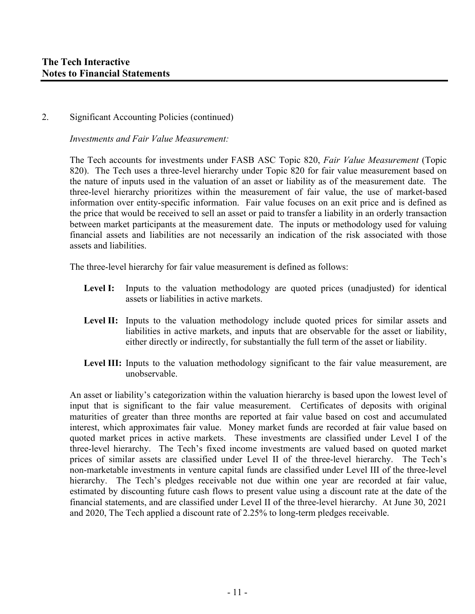*Investments and Fair Value Measurement:* 

The Tech accounts for investments under FASB ASC Topic 820, *Fair Value Measurement* (Topic 820). The Tech uses a three-level hierarchy under Topic 820 for fair value measurement based on the nature of inputs used in the valuation of an asset or liability as of the measurement date. The three-level hierarchy prioritizes within the measurement of fair value, the use of market-based information over entity-specific information. Fair value focuses on an exit price and is defined as the price that would be received to sell an asset or paid to transfer a liability in an orderly transaction between market participants at the measurement date. The inputs or methodology used for valuing financial assets and liabilities are not necessarily an indication of the risk associated with those assets and liabilities.

The three-level hierarchy for fair value measurement is defined as follows:

- Level I: Inputs to the valuation methodology are quoted prices (unadjusted) for identical assets or liabilities in active markets.
- **Level II:** Inputs to the valuation methodology include quoted prices for similar assets and liabilities in active markets, and inputs that are observable for the asset or liability, either directly or indirectly, for substantially the full term of the asset or liability.
- Level III: Inputs to the valuation methodology significant to the fair value measurement, are unobservable.

An asset or liability's categorization within the valuation hierarchy is based upon the lowest level of input that is significant to the fair value measurement. Certificates of deposits with original maturities of greater than three months are reported at fair value based on cost and accumulated interest, which approximates fair value. Money market funds are recorded at fair value based on quoted market prices in active markets. These investments are classified under Level I of the three-level hierarchy. The Tech's fixed income investments are valued based on quoted market prices of similar assets are classified under Level II of the three-level hierarchy. The Tech's non-marketable investments in venture capital funds are classified under Level III of the three-level hierarchy. The Tech's pledges receivable not due within one year are recorded at fair value, estimated by discounting future cash flows to present value using a discount rate at the date of the financial statements, and are classified under Level II of the three-level hierarchy. At June 30, 2021 and 2020, The Tech applied a discount rate of 2.25% to long-term pledges receivable.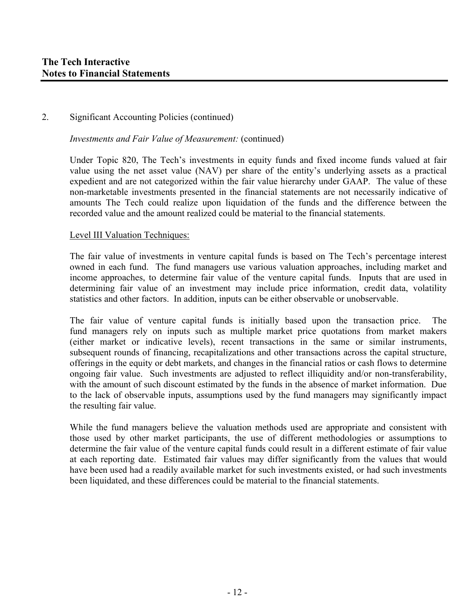*Investments and Fair Value of Measurement:* (continued)

Under Topic 820, The Tech's investments in equity funds and fixed income funds valued at fair value using the net asset value (NAV) per share of the entity's underlying assets as a practical expedient and are not categorized within the fair value hierarchy under GAAP. The value of these non-marketable investments presented in the financial statements are not necessarily indicative of amounts The Tech could realize upon liquidation of the funds and the difference between the recorded value and the amount realized could be material to the financial statements.

#### Level III Valuation Techniques:

The fair value of investments in venture capital funds is based on The Tech's percentage interest owned in each fund. The fund managers use various valuation approaches, including market and income approaches, to determine fair value of the venture capital funds. Inputs that are used in determining fair value of an investment may include price information, credit data, volatility statistics and other factors. In addition, inputs can be either observable or unobservable.

The fair value of venture capital funds is initially based upon the transaction price. The fund managers rely on inputs such as multiple market price quotations from market makers (either market or indicative levels), recent transactions in the same or similar instruments, subsequent rounds of financing, recapitalizations and other transactions across the capital structure, offerings in the equity or debt markets, and changes in the financial ratios or cash flows to determine ongoing fair value. Such investments are adjusted to reflect illiquidity and/or non-transferability, with the amount of such discount estimated by the funds in the absence of market information. Due to the lack of observable inputs, assumptions used by the fund managers may significantly impact the resulting fair value.

While the fund managers believe the valuation methods used are appropriate and consistent with those used by other market participants, the use of different methodologies or assumptions to determine the fair value of the venture capital funds could result in a different estimate of fair value at each reporting date. Estimated fair values may differ significantly from the values that would have been used had a readily available market for such investments existed, or had such investments been liquidated, and these differences could be material to the financial statements.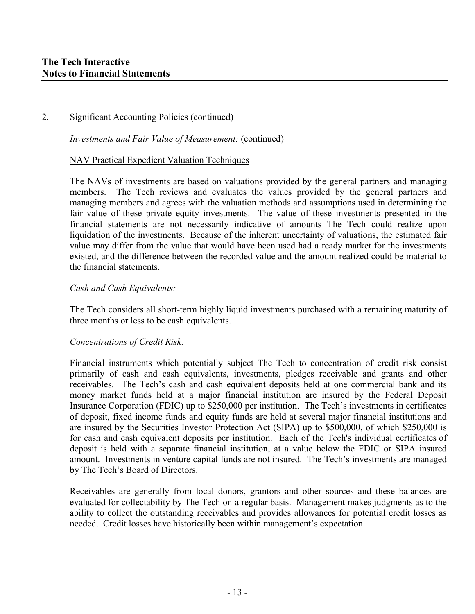*Investments and Fair Value of Measurement:* (continued)

#### NAV Practical Expedient Valuation Techniques

The NAVs of investments are based on valuations provided by the general partners and managing members. The Tech reviews and evaluates the values provided by the general partners and managing members and agrees with the valuation methods and assumptions used in determining the fair value of these private equity investments. The value of these investments presented in the financial statements are not necessarily indicative of amounts The Tech could realize upon liquidation of the investments. Because of the inherent uncertainty of valuations, the estimated fair value may differ from the value that would have been used had a ready market for the investments existed, and the difference between the recorded value and the amount realized could be material to the financial statements.

#### *Cash and Cash Equivalents:*

The Tech considers all short-term highly liquid investments purchased with a remaining maturity of three months or less to be cash equivalents.

## *Concentrations of Credit Risk:*

Financial instruments which potentially subject The Tech to concentration of credit risk consist primarily of cash and cash equivalents, investments, pledges receivable and grants and other receivables. The Tech's cash and cash equivalent deposits held at one commercial bank and its money market funds held at a major financial institution are insured by the Federal Deposit Insurance Corporation (FDIC) up to \$250,000 per institution. The Tech's investments in certificates of deposit, fixed income funds and equity funds are held at several major financial institutions and are insured by the Securities Investor Protection Act (SIPA) up to \$500,000, of which \$250,000 is for cash and cash equivalent deposits per institution. Each of the Tech's individual certificates of deposit is held with a separate financial institution, at a value below the FDIC or SIPA insured amount. Investments in venture capital funds are not insured. The Tech's investments are managed by The Tech's Board of Directors.

Receivables are generally from local donors, grantors and other sources and these balances are evaluated for collectability by The Tech on a regular basis. Management makes judgments as to the ability to collect the outstanding receivables and provides allowances for potential credit losses as needed. Credit losses have historically been within management's expectation.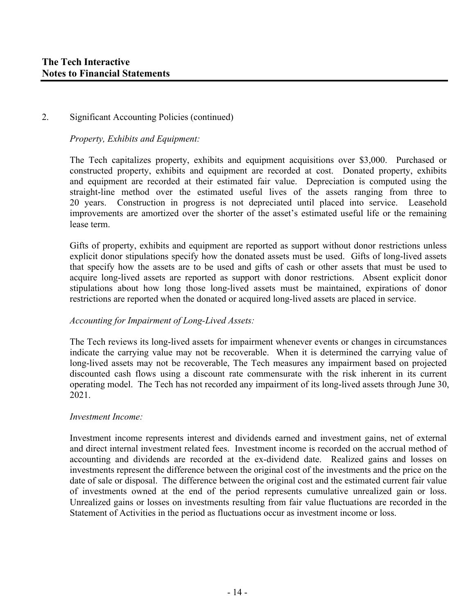*Property, Exhibits and Equipment:* 

The Tech capitalizes property, exhibits and equipment acquisitions over \$3,000. Purchased or constructed property, exhibits and equipment are recorded at cost. Donated property, exhibits and equipment are recorded at their estimated fair value. Depreciation is computed using the straight-line method over the estimated useful lives of the assets ranging from three to 20 years. Construction in progress is not depreciated until placed into service. Leasehold improvements are amortized over the shorter of the asset's estimated useful life or the remaining lease term.

Gifts of property, exhibits and equipment are reported as support without donor restrictions unless explicit donor stipulations specify how the donated assets must be used. Gifts of long-lived assets that specify how the assets are to be used and gifts of cash or other assets that must be used to acquire long-lived assets are reported as support with donor restrictions. Absent explicit donor stipulations about how long those long-lived assets must be maintained, expirations of donor restrictions are reported when the donated or acquired long-lived assets are placed in service.

## *Accounting for Impairment of Long-Lived Assets:*

The Tech reviews its long-lived assets for impairment whenever events or changes in circumstances indicate the carrying value may not be recoverable. When it is determined the carrying value of long-lived assets may not be recoverable, The Tech measures any impairment based on projected discounted cash flows using a discount rate commensurate with the risk inherent in its current operating model. The Tech has not recorded any impairment of its long-lived assets through June 30, 2021.

## *Investment Income:*

Investment income represents interest and dividends earned and investment gains, net of external and direct internal investment related fees. Investment income is recorded on the accrual method of accounting and dividends are recorded at the ex-dividend date. Realized gains and losses on investments represent the difference between the original cost of the investments and the price on the date of sale or disposal. The difference between the original cost and the estimated current fair value of investments owned at the end of the period represents cumulative unrealized gain or loss. Unrealized gains or losses on investments resulting from fair value fluctuations are recorded in the Statement of Activities in the period as fluctuations occur as investment income or loss.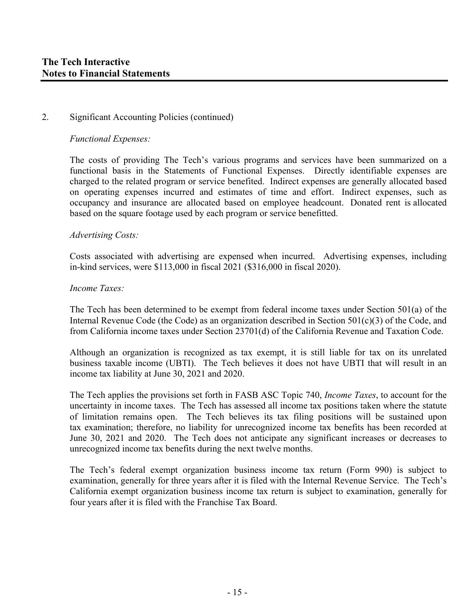#### *Functional Expenses:*

The costs of providing The Tech's various programs and services have been summarized on a functional basis in the Statements of Functional Expenses. Directly identifiable expenses are charged to the related program or service benefited. Indirect expenses are generally allocated based on operating expenses incurred and estimates of time and effort. Indirect expenses, such as occupancy and insurance are allocated based on employee headcount. Donated rent is allocated based on the square footage used by each program or service benefitted.

#### *Advertising Costs:*

Costs associated with advertising are expensed when incurred. Advertising expenses, including in-kind services, were \$113,000 in fiscal 2021 (\$316,000 in fiscal 2020).

#### *Income Taxes:*

The Tech has been determined to be exempt from federal income taxes under Section 501(a) of the Internal Revenue Code (the Code) as an organization described in Section 501(c)(3) of the Code, and from California income taxes under Section 23701(d) of the California Revenue and Taxation Code.

Although an organization is recognized as tax exempt, it is still liable for tax on its unrelated business taxable income (UBTI). The Tech believes it does not have UBTI that will result in an income tax liability at June 30, 2021 and 2020.

The Tech applies the provisions set forth in FASB ASC Topic 740, *Income Taxes*, to account for the uncertainty in income taxes. The Tech has assessed all income tax positions taken where the statute of limitation remains open. The Tech believes its tax filing positions will be sustained upon tax examination; therefore, no liability for unrecognized income tax benefits has been recorded at June 30, 2021 and 2020. The Tech does not anticipate any significant increases or decreases to unrecognized income tax benefits during the next twelve months.

The Tech's federal exempt organization business income tax return (Form 990) is subject to examination, generally for three years after it is filed with the Internal Revenue Service. The Tech's California exempt organization business income tax return is subject to examination, generally for four years after it is filed with the Franchise Tax Board.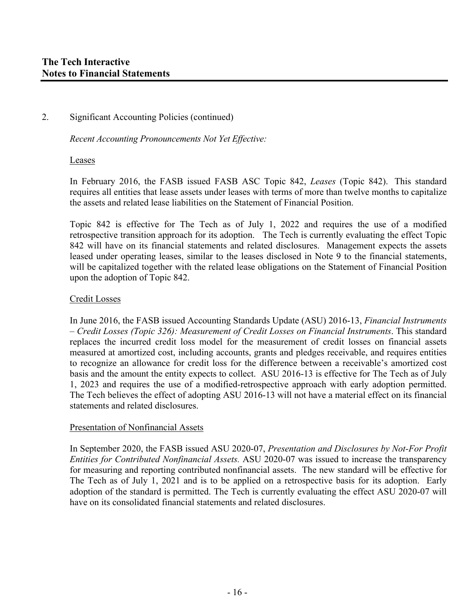*Recent Accounting Pronouncements Not Yet Effective:* 

#### Leases

In February 2016, the FASB issued FASB ASC Topic 842, *Leases* (Topic 842). This standard requires all entities that lease assets under leases with terms of more than twelve months to capitalize the assets and related lease liabilities on the Statement of Financial Position.

Topic 842 is effective for The Tech as of July 1, 2022 and requires the use of a modified retrospective transition approach for its adoption. The Tech is currently evaluating the effect Topic 842 will have on its financial statements and related disclosures. Management expects the assets leased under operating leases, similar to the leases disclosed in Note 9 to the financial statements, will be capitalized together with the related lease obligations on the Statement of Financial Position upon the adoption of Topic 842.

#### Credit Losses

In June 2016, the FASB issued Accounting Standards Update (ASU) 2016-13, *Financial Instruments – Credit Losses (Topic 326): Measurement of Credit Losses on Financial Instruments*. This standard replaces the incurred credit loss model for the measurement of credit losses on financial assets measured at amortized cost, including accounts, grants and pledges receivable, and requires entities to recognize an allowance for credit loss for the difference between a receivable's amortized cost basis and the amount the entity expects to collect. ASU 2016-13 is effective for The Tech as of July 1, 2023 and requires the use of a modified-retrospective approach with early adoption permitted. The Tech believes the effect of adopting ASU 2016-13 will not have a material effect on its financial statements and related disclosures.

#### Presentation of Nonfinancial Assets

In September 2020, the FASB issued ASU 2020-07, *Presentation and Disclosures by Not-For Profit Entities for Contributed Nonfinancial Assets.* ASU 2020-07 was issued to increase the transparency for measuring and reporting contributed nonfinancial assets. The new standard will be effective for The Tech as of July 1, 2021 and is to be applied on a retrospective basis for its adoption. Early adoption of the standard is permitted. The Tech is currently evaluating the effect ASU 2020-07 will have on its consolidated financial statements and related disclosures.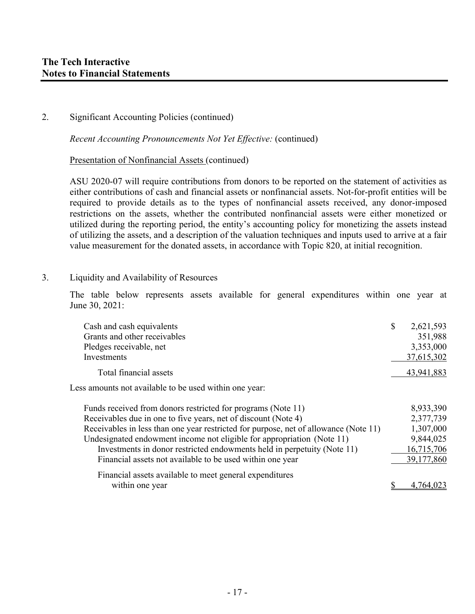*Recent Accounting Pronouncements Not Yet Effective:* (continued)

#### Presentation of Nonfinancial Assets (continued)

ASU 2020-07 will require contributions from donors to be reported on the statement of activities as either contributions of cash and financial assets or nonfinancial assets. Not-for-profit entities will be required to provide details as to the types of nonfinancial assets received, any donor-imposed restrictions on the assets, whether the contributed nonfinancial assets were either monetized or utilized during the reporting period, the entity's accounting policy for monetizing the assets instead of utilizing the assets, and a description of the valuation techniques and inputs used to arrive at a fair value measurement for the donated assets, in accordance with Topic 820, at initial recognition.

3. Liquidity and Availability of Resources

The table below represents assets available for general expenditures within one year at June 30, 2021:

| Cash and cash equivalents                                      | \$<br>2,621,593 |
|----------------------------------------------------------------|-----------------|
| Grants and other receivables                                   | 351,988         |
| Pledges receivable, net                                        | 3,353,000       |
| Investments                                                    | 37,615,302      |
| Total financial assets                                         | 43,941,883      |
| Less amounts not available to be used within one year:         |                 |
| Funds received from donors restricted for programs (Note 11)   | 8,933,390       |
| Receivables due in one to five years, net of discount (Note 4) | 2,377,739       |

| Receivables in less than one year restricted for purpose, net of allowance (Note 11) | 1,307,000  |
|--------------------------------------------------------------------------------------|------------|
| Undesignated endowment income not eligible for appropriation (Note 11)               | 9,844,025  |
| Investments in donor restricted endowments held in perpetuity (Note 11)              | 16,715,706 |
| Financial assets not available to be used within one year                            | 39,177,860 |
| Financial assets available to meet general expenditures                              |            |
| within one year                                                                      | 4,764,023  |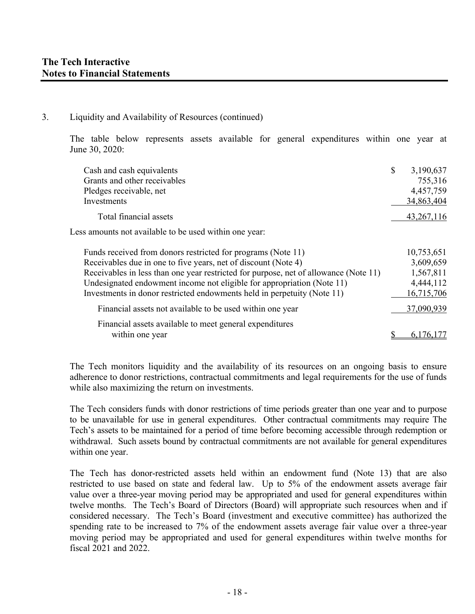#### 3. Liquidity and Availability of Resources (continued)

The table below represents assets available for general expenditures within one year at June 30, 2020:

| Cash and cash equivalents                                                            | \$<br>3,190,637 |
|--------------------------------------------------------------------------------------|-----------------|
| Grants and other receivables                                                         | 755,316         |
| Pledges receivable, net                                                              | 4,457,759       |
| Investments                                                                          | 34,863,404      |
| Total financial assets                                                               | 43, 267, 116    |
| Less amounts not available to be used within one year:                               |                 |
| Funds received from donors restricted for programs (Note 11)                         | 10,753,651      |
| Receivables due in one to five years, net of discount (Note 4)                       | 3,609,659       |
| Receivables in less than one year restricted for purpose, net of allowance (Note 11) | 1,567,811       |
| Undesignated endowment income not eligible for appropriation (Note 11)               | 4,444,112       |
| Investments in donor restricted endowments held in perpetuity (Note 11)              | 16,715,706      |
| Financial assets not available to be used within one year                            | 37,090,939      |
| Financial assets available to meet general expenditures                              |                 |
| within one year                                                                      | \$<br>6,176,177 |

The Tech monitors liquidity and the availability of its resources on an ongoing basis to ensure adherence to donor restrictions, contractual commitments and legal requirements for the use of funds while also maximizing the return on investments.

The Tech considers funds with donor restrictions of time periods greater than one year and to purpose to be unavailable for use in general expenditures. Other contractual commitments may require The Tech's assets to be maintained for a period of time before becoming accessible through redemption or withdrawal. Such assets bound by contractual commitments are not available for general expenditures within one year.

The Tech has donor-restricted assets held within an endowment fund (Note 13) that are also restricted to use based on state and federal law. Up to 5% of the endowment assets average fair value over a three-year moving period may be appropriated and used for general expenditures within twelve months. The Tech's Board of Directors (Board) will appropriate such resources when and if considered necessary. The Tech's Board (investment and executive committee) has authorized the spending rate to be increased to 7% of the endowment assets average fair value over a three-year moving period may be appropriated and used for general expenditures within twelve months for fiscal 2021 and 2022.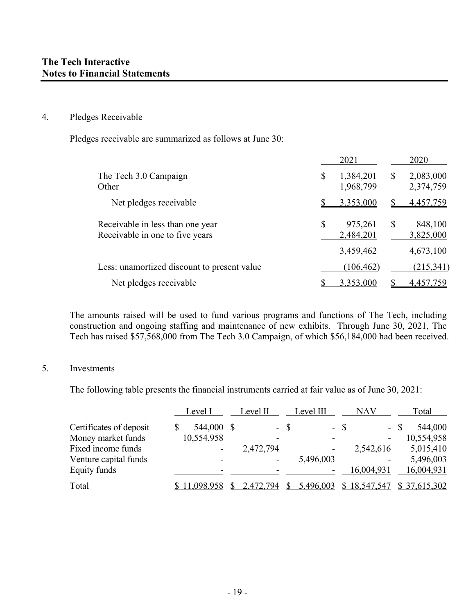#### 4. Pledges Receivable

Pledges receivable are summarized as follows at June 30:

|                                                                     | 2021                         |   | 2020                   |
|---------------------------------------------------------------------|------------------------------|---|------------------------|
| The Tech 3.0 Campaign<br>Other                                      | \$<br>1,384,201<br>1,968,799 | S | 2,083,000<br>2,374,759 |
| Net pledges receivable                                              | 3,353,000                    |   | 4,457,759              |
| Receivable in less than one year<br>Receivable in one to five years | \$<br>975,261<br>2,484,201   | S | 848,100<br>3,825,000   |
|                                                                     | 3,459,462                    |   | 4,673,100              |
| Less: unamortized discount to present value                         | (106, 462)                   |   | (215,341)              |
| Net pledges receivable                                              | 3,353,000                    |   | 4.457.759              |

The amounts raised will be used to fund various programs and functions of The Tech, including construction and ongoing staffing and maintenance of new exhibits. Through June 30, 2021, The Tech has raised \$57,568,000 from The Tech 3.0 Campaign, of which \$56,184,000 had been received.

## 5. Investments

The following table presents the financial instruments carried at fair value as of June 30, 2021:

|                         | Level I    | Level II  | Level III       | NAV          | Total          |
|-------------------------|------------|-----------|-----------------|--------------|----------------|
| Certificates of deposit | 544,000 \$ |           | - \$            | $-$ \$       | 544,000<br>- S |
| Money market funds      | 10,554,958 |           |                 |              | 10,554,958     |
| Fixed income funds      |            | 2,472,794 |                 | 2,542,616    | 5,015,410      |
| Venture capital funds   |            |           | 5,496,003       |              | 5,496,003      |
| Equity funds            |            |           |                 | 16,004,931   | 16,004,931     |
| Total                   | 11,098,958 | 2,472,794 | 5,496,003<br>S. | \$18,547,547 | \$37,615,302   |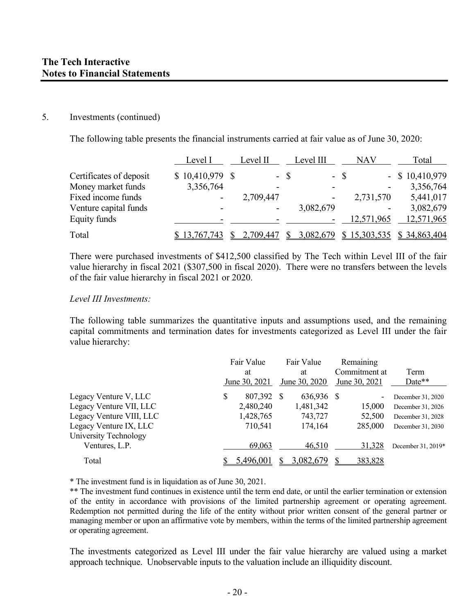#### 5. Investments (continued)

The following table presents the financial instruments carried at fair value as of June 30, 2020:

|                         | Level I           | Level II  |      | Level III | NAV        | Total             |
|-------------------------|-------------------|-----------|------|-----------|------------|-------------------|
| Certificates of deposit | $$10,410,979$ \\$ |           | - \$ |           | $-$ \$     | $-$ \$ 10,410,979 |
| Money market funds      | 3,356,764         |           |      |           |            | 3,356,764         |
| Fixed income funds      |                   | 2,709,447 |      |           | 2,731,570  | 5,441,017         |
| Venture capital funds   |                   |           |      | 3,082,679 |            | 3,082,679         |
| Equity funds            |                   |           |      |           | 12,571,965 | 12,571,965        |
| Total                   | 13,767,743        | 2,709,447 |      | 3,082,679 | 15,303,535 | \$34,863,404      |

There were purchased investments of \$412,500 classified by The Tech within Level III of the fair value hierarchy in fiscal 2021 (\$307,500 in fiscal 2020). There were no transfers between the levels of the fair value hierarchy in fiscal 2021 or 2020.

#### *Level III Investments:*

The following table summarizes the quantitative inputs and assumptions used, and the remaining capital commitments and termination dates for investments categorized as Level III under the fair value hierarchy:

|                          |   | Fair Value    |  | Fair Value    | Remaining     |                    |
|--------------------------|---|---------------|--|---------------|---------------|--------------------|
|                          |   | at            |  | at            | Commitment at | Term               |
|                          |   | June 30, 2021 |  | June 30, 2020 | June 30, 2021 | Date**             |
| Legacy Venture V, LLC    | S | 807,392 \$    |  | 636,936 \$    |               | December 31, 2020  |
| Legacy Venture VII, LLC  |   | 2,480,240     |  | 1,481,342     | 15,000        | December 31, 2026  |
| Legacy Venture VIII, LLC |   | 1,428,765     |  | 743,727       | 52,500        | December 31, 2028  |
| Legacy Venture IX, LLC   |   | 710,541       |  | 174,164       | 285,000       | December 31, 2030  |
| University Technology    |   |               |  |               |               |                    |
| Ventures, L.P.           |   | 69,063        |  | 46,510        | 31,328        | December 31, 2019* |
| Total                    |   | 5,496,001     |  | 3,082,679     | 383,828       |                    |

\* The investment fund is in liquidation as of June 30, 2021.

\*\* The investment fund continues in existence until the term end date, or until the earlier termination or extension of the entity in accordance with provisions of the limited partnership agreement or operating agreement. Redemption not permitted during the life of the entity without prior written consent of the general partner or managing member or upon an affirmative vote by members, within the terms of the limited partnership agreement or operating agreement.

The investments categorized as Level III under the fair value hierarchy are valued using a market approach technique. Unobservable inputs to the valuation include an illiquidity discount.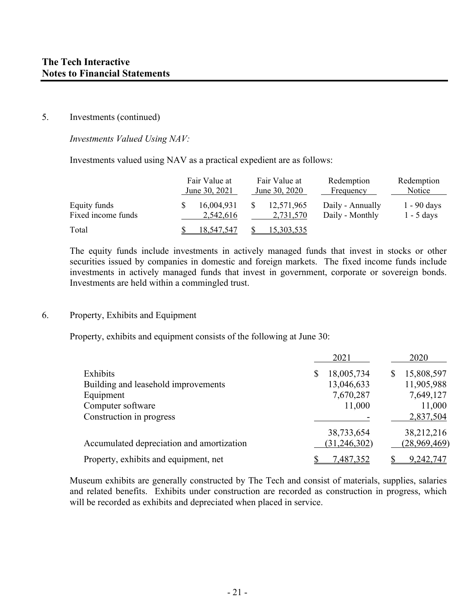#### 5. Investments (continued)

*Investments Valued Using NAV:* 

Investments valued using NAV as a practical expedient are as follows:

|                                    | Fair Value at<br>June 30, 2021 | Fair Value at<br>June 30, 2020 | Redemption<br>Frequency             | Redemption<br>Notice          |
|------------------------------------|--------------------------------|--------------------------------|-------------------------------------|-------------------------------|
| Equity funds<br>Fixed income funds | 16,004,931<br>2,542,616        | 12,571,965<br>2,731,570        | Daily - Annually<br>Daily - Monthly | $1 - 90$ days<br>$1 - 5$ days |
| Total                              | 18.547.547                     | 15,303,535                     |                                     |                               |

The equity funds include investments in actively managed funds that invest in stocks or other securities issued by companies in domestic and foreign markets. The fixed income funds include investments in actively managed funds that invest in government, corporate or sovereign bonds. Investments are held within a commingled trust.

#### 6. Property, Exhibits and Equipment

Property, exhibits and equipment consists of the following at June 30:

|                                           | 2021            | 2020         |
|-------------------------------------------|-----------------|--------------|
| Exhibits                                  | 18,005,734<br>S | 15,808,597   |
| Building and leasehold improvements       | 13,046,633      | 11,905,988   |
| Equipment                                 | 7,670,287       | 7,649,127    |
| Computer software                         | 11,000          | 11,000       |
| Construction in progress                  |                 | 2,837,504    |
|                                           | 38,733,654      | 38,212,216   |
| Accumulated depreciation and amortization | (31, 246, 302)  | (28,969,469) |
| Property, exhibits and equipment, net     | 7,487,352       | 9,242,747    |

Museum exhibits are generally constructed by The Tech and consist of materials, supplies, salaries and related benefits. Exhibits under construction are recorded as construction in progress, which will be recorded as exhibits and depreciated when placed in service.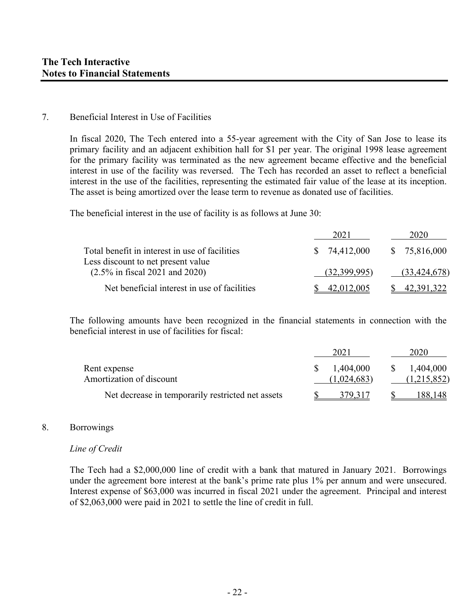#### 7. Beneficial Interest in Use of Facilities

In fiscal 2020, The Tech entered into a 55-year agreement with the City of San Jose to lease its primary facility and an adjacent exhibition hall for \$1 per year. The original 1998 lease agreement for the primary facility was terminated as the new agreement became effective and the beneficial interest in use of the facility was reversed. The Tech has recorded an asset to reflect a beneficial interest in the use of the facilities, representing the estimated fair value of the lease at its inception. The asset is being amortized over the lease term to revenue as donated use of facilities.

The beneficial interest in the use of facility is as follows at June 30:

|                                                                                           | 202          | 2020           |
|-------------------------------------------------------------------------------------------|--------------|----------------|
| Total benefit in interest in use of facilities                                            | 74,412,000   | \$75,816,000   |
| Less discount to net present value<br>$(2.5\% \text{ in fiscal } 2021 \text{ and } 2020)$ | (32,399,995) | (33, 424, 678) |
| Net beneficial interest in use of facilities                                              | 42.012.005   | 42.391.322     |

The following amounts have been recognized in the financial statements in connection with the beneficial interest in use of facilities for fiscal:

|                                                   | 202         | 2020        |
|---------------------------------------------------|-------------|-------------|
| Rent expense                                      | 1,404,000   | 1,404,000   |
| Amortization of discount                          | (1,024,683) | (1,215,852) |
| Net decrease in temporarily restricted net assets | 379.317     | 188,148     |

#### 8. Borrowings

#### *Line of Credit*

The Tech had a \$2,000,000 line of credit with a bank that matured in January 2021. Borrowings under the agreement bore interest at the bank's prime rate plus 1% per annum and were unsecured. Interest expense of \$63,000 was incurred in fiscal 2021 under the agreement. Principal and interest of \$2,063,000 were paid in 2021 to settle the line of credit in full.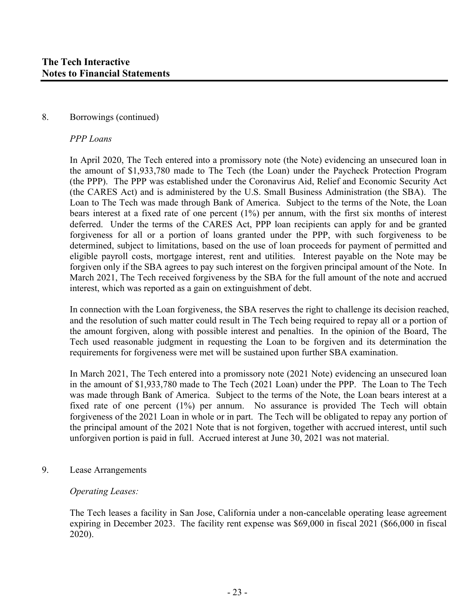#### 8. Borrowings (continued)

#### *PPP Loans*

In April 2020, The Tech entered into a promissory note (the Note) evidencing an unsecured loan in the amount of \$1,933,780 made to The Tech (the Loan) under the Paycheck Protection Program (the PPP). The PPP was established under the Coronavirus Aid, Relief and Economic Security Act (the CARES Act) and is administered by the U.S. Small Business Administration (the SBA). The Loan to The Tech was made through Bank of America. Subject to the terms of the Note, the Loan bears interest at a fixed rate of one percent (1%) per annum, with the first six months of interest deferred. Under the terms of the CARES Act, PPP loan recipients can apply for and be granted forgiveness for all or a portion of loans granted under the PPP, with such forgiveness to be determined, subject to limitations, based on the use of loan proceeds for payment of permitted and eligible payroll costs, mortgage interest, rent and utilities. Interest payable on the Note may be forgiven only if the SBA agrees to pay such interest on the forgiven principal amount of the Note. In March 2021, The Tech received forgiveness by the SBA for the full amount of the note and accrued interest, which was reported as a gain on extinguishment of debt.

In connection with the Loan forgiveness, the SBA reserves the right to challenge its decision reached, and the resolution of such matter could result in The Tech being required to repay all or a portion of the amount forgiven, along with possible interest and penalties. In the opinion of the Board, The Tech used reasonable judgment in requesting the Loan to be forgiven and its determination the requirements for forgiveness were met will be sustained upon further SBA examination.

In March 2021, The Tech entered into a promissory note (2021 Note) evidencing an unsecured loan in the amount of \$1,933,780 made to The Tech (2021 Loan) under the PPP. The Loan to The Tech was made through Bank of America. Subject to the terms of the Note, the Loan bears interest at a fixed rate of one percent (1%) per annum. No assurance is provided The Tech will obtain forgiveness of the 2021 Loan in whole or in part. The Tech will be obligated to repay any portion of the principal amount of the 2021 Note that is not forgiven, together with accrued interest, until such unforgiven portion is paid in full. Accrued interest at June 30, 2021 was not material.

9. Lease Arrangements

#### *Operating Leases:*

The Tech leases a facility in San Jose, California under a non-cancelable operating lease agreement expiring in December 2023. The facility rent expense was \$69,000 in fiscal 2021 (\$66,000 in fiscal 2020).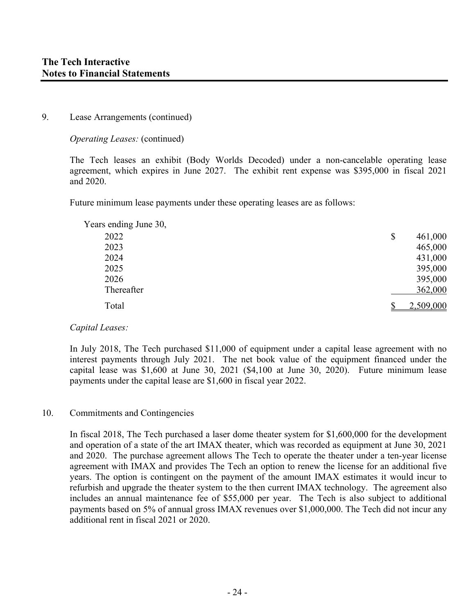#### 9. Lease Arrangements (continued)

*Operating Leases:* (continued)

The Tech leases an exhibit (Body Worlds Decoded) under a non-cancelable operating lease agreement, which expires in June 2027. The exhibit rent expense was \$395,000 in fiscal 2021 and 2020.

Future minimum lease payments under these operating leases are as follows:

| Years ending June 30, |               |
|-----------------------|---------------|
| 2022                  | \$<br>461,000 |
| 2023                  | 465,000       |
| 2024                  | 431,000       |
| 2025                  | 395,000       |
| 2026                  | 395,000       |
| Thereafter            | 362,000       |
| Total                 | 2,509,000     |

#### *Capital Leases:*

In July 2018, The Tech purchased \$11,000 of equipment under a capital lease agreement with no interest payments through July 2021. The net book value of the equipment financed under the capital lease was \$1,600 at June 30, 2021 (\$4,100 at June 30, 2020). Future minimum lease payments under the capital lease are \$1,600 in fiscal year 2022.

#### 10. Commitments and Contingencies

In fiscal 2018, The Tech purchased a laser dome theater system for \$1,600,000 for the development and operation of a state of the art IMAX theater, which was recorded as equipment at June 30, 2021 and 2020. The purchase agreement allows The Tech to operate the theater under a ten-year license agreement with IMAX and provides The Tech an option to renew the license for an additional five years. The option is contingent on the payment of the amount IMAX estimates it would incur to refurbish and upgrade the theater system to the then current IMAX technology. The agreement also includes an annual maintenance fee of \$55,000 per year. The Tech is also subject to additional payments based on 5% of annual gross IMAX revenues over \$1,000,000. The Tech did not incur any additional rent in fiscal 2021 or 2020.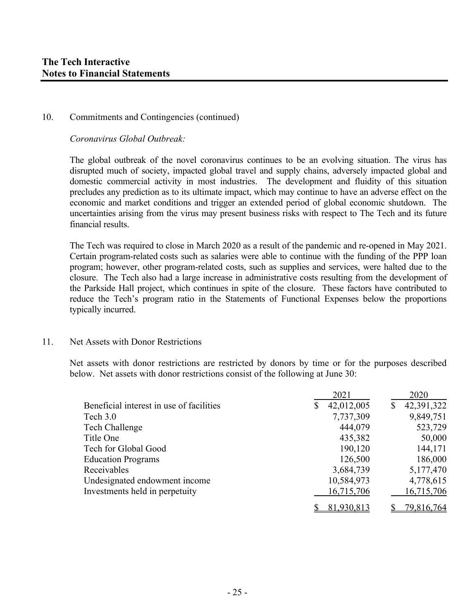#### 10. Commitments and Contingencies (continued)

*Coronavirus Global Outbreak:* 

The global outbreak of the novel coronavirus continues to be an evolving situation. The virus has disrupted much of society, impacted global travel and supply chains, adversely impacted global and domestic commercial activity in most industries. The development and fluidity of this situation precludes any prediction as to its ultimate impact, which may continue to have an adverse effect on the economic and market conditions and trigger an extended period of global economic shutdown. The uncertainties arising from the virus may present business risks with respect to The Tech and its future financial results.

The Tech was required to close in March 2020 as a result of the pandemic and re-opened in May 2021. Certain program-related costs such as salaries were able to continue with the funding of the PPP loan program; however, other program-related costs, such as supplies and services, were halted due to the closure. The Tech also had a large increase in administrative costs resulting from the development of the Parkside Hall project, which continues in spite of the closure. These factors have contributed to reduce the Tech's program ratio in the Statements of Functional Expenses below the proportions typically incurred.

#### 11. Net Assets with Donor Restrictions

Net assets with donor restrictions are restricted by donors by time or for the purposes described below. Net assets with donor restrictions consist of the following at June 30:

|                                          | 2021             | 2020             |
|------------------------------------------|------------------|------------------|
| Beneficial interest in use of facilities | 42,012,005<br>\$ | 42,391,322<br>\$ |
| Tech 3.0                                 | 7,737,309        | 9,849,751        |
| Tech Challenge                           | 444,079          | 523,729          |
| Title One                                | 435,382          | 50,000           |
| Tech for Global Good                     | 190,120          | 144,171          |
| <b>Education Programs</b>                | 126,500          | 186,000          |
| Receivables                              | 3,684,739        | 5,177,470        |
| Undesignated endowment income            | 10,584,973       | 4,778,615        |
| Investments held in perpetuity           | 16,715,706       | 16,715,706       |
|                                          | 81,930,813       | 79,816,764       |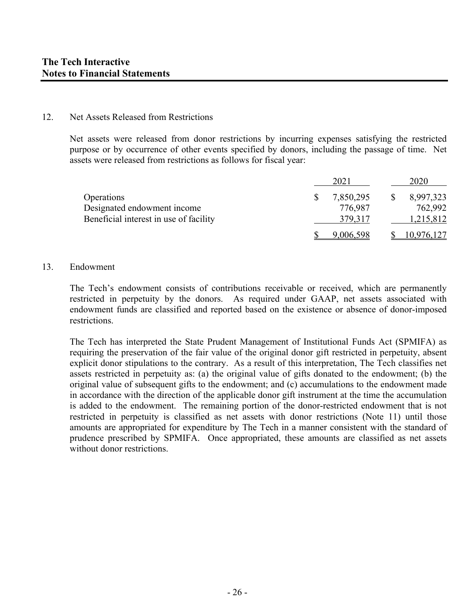#### 12. Net Assets Released from Restrictions

Net assets were released from donor restrictions by incurring expenses satisfying the restricted purpose or by occurrence of other events specified by donors, including the passage of time. Net assets were released from restrictions as follows for fiscal year:

|                                        | 2021      | 2020       |
|----------------------------------------|-----------|------------|
| Operations                             | 7,850,295 | 8,997,323  |
| Designated endowment income            | 776,987   | 762,992    |
| Beneficial interest in use of facility | 379,317   | 1,215,812  |
|                                        | 9,006,598 | 10,976,127 |

#### 13. Endowment

The Tech's endowment consists of contributions receivable or received, which are permanently restricted in perpetuity by the donors. As required under GAAP, net assets associated with endowment funds are classified and reported based on the existence or absence of donor-imposed restrictions.

The Tech has interpreted the State Prudent Management of Institutional Funds Act (SPMIFA) as requiring the preservation of the fair value of the original donor gift restricted in perpetuity, absent explicit donor stipulations to the contrary. As a result of this interpretation, The Tech classifies net assets restricted in perpetuity as: (a) the original value of gifts donated to the endowment; (b) the original value of subsequent gifts to the endowment; and (c) accumulations to the endowment made in accordance with the direction of the applicable donor gift instrument at the time the accumulation is added to the endowment. The remaining portion of the donor-restricted endowment that is not restricted in perpetuity is classified as net assets with donor restrictions (Note 11) until those amounts are appropriated for expenditure by The Tech in a manner consistent with the standard of prudence prescribed by SPMIFA. Once appropriated, these amounts are classified as net assets without donor restrictions.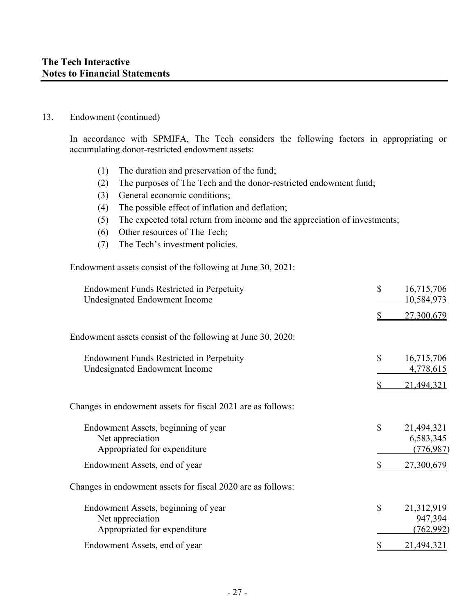#### 13. Endowment (continued)

In accordance with SPMIFA, The Tech considers the following factors in appropriating or accumulating donor-restricted endowment assets:

- (1) The duration and preservation of the fund;
- (2) The purposes of The Tech and the donor-restricted endowment fund;
- (3) General economic conditions;
- (4) The possible effect of inflation and deflation;
- (5) The expected total return from income and the appreciation of investments;
- (6) Other resources of The Tech;
- (7) The Tech's investment policies.

Endowment assets consist of the following at June 30, 2021:

| <b>Endowment Funds Restricted in Perpetuity</b><br><b>Undesignated Endowment Income</b> | \$<br>16,715,706<br>10,584,973              |
|-----------------------------------------------------------------------------------------|---------------------------------------------|
|                                                                                         | 27,300,679                                  |
| Endowment assets consist of the following at June 30, 2020:                             |                                             |
| Endowment Funds Restricted in Perpetuity<br>Undesignated Endowment Income               | \$<br>16,715,706<br>4,778,615               |
|                                                                                         | 21,494,321                                  |
| Changes in endowment assets for fiscal 2021 are as follows:                             |                                             |
| Endowment Assets, beginning of year<br>Net appreciation<br>Appropriated for expenditure | \$<br>21,494,321<br>6,583,345<br>(776, 987) |
| Endowment Assets, end of year                                                           | 27,300,679                                  |
| Changes in endowment assets for fiscal 2020 are as follows:                             |                                             |
| Endowment Assets, beginning of year<br>Net appreciation<br>Appropriated for expenditure | \$<br>21,312,919<br>947,394<br>(762, 992)   |
| Endowment Assets, end of year                                                           | 21,494,321                                  |